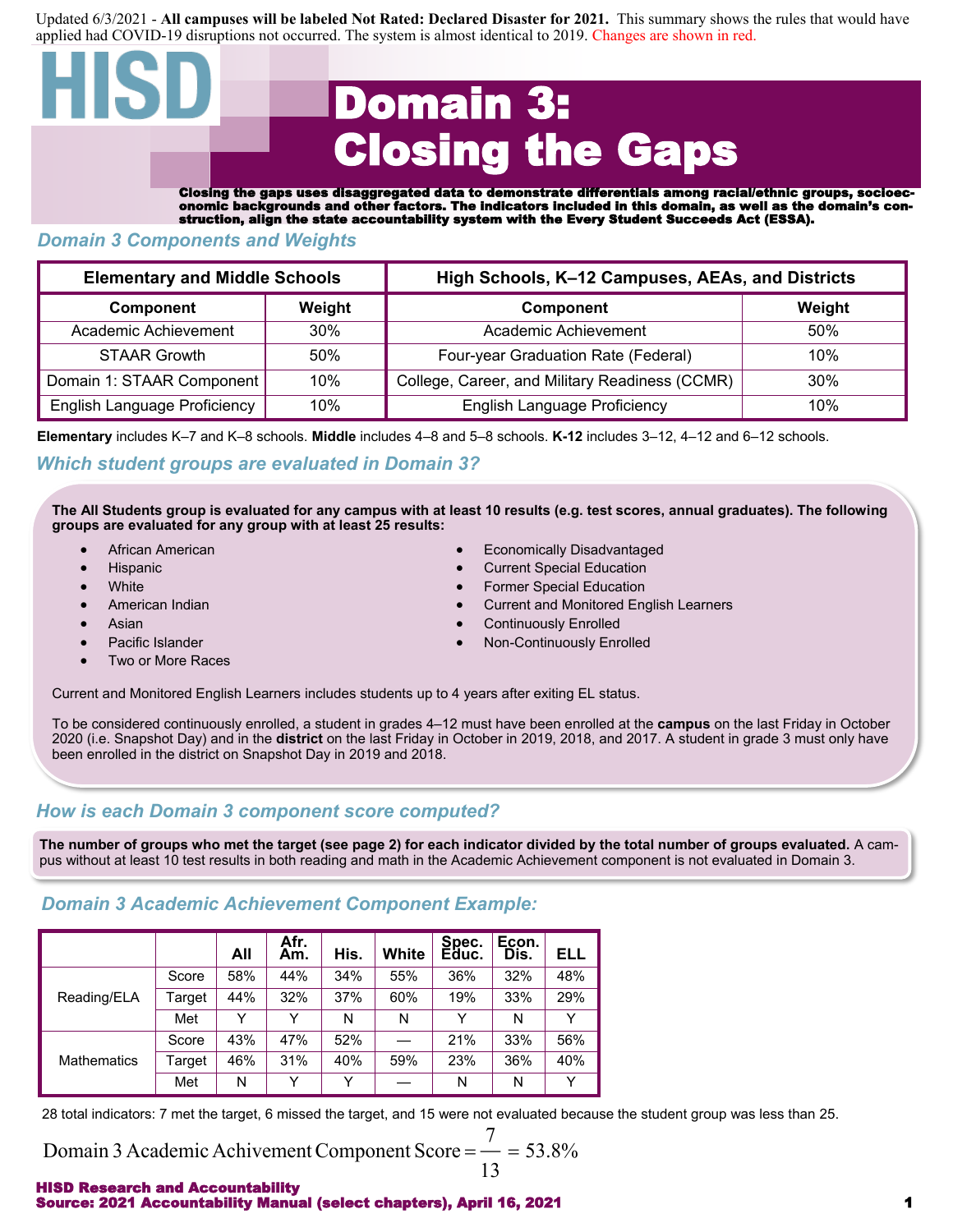Updated 6/3/2021 - **All campuses will be labeled Not Rated: Declared Disaster for 2021.** This summary shows the rules that would have applied had COVID-19 disruptions not occurred. The system is almost identical to 2019. Changes are shown in red.

# Domain 3: Closing the Gaps

Closing the gaps uses disaggregated data to demonstrate differentials among racial/ethnic groups, socioeconomic backgrounds and other factors. The indicators included in this domain, as well as the domain's construction, align the state accountability system with the Every Student Succeeds Act (ESSA).

## *Domain 3 Components and Weights*

| <b>Elementary and Middle Schools</b> |        | High Schools, K-12 Campuses, AEAs, and Districts |        |  |  |  |  |
|--------------------------------------|--------|--------------------------------------------------|--------|--|--|--|--|
| Component                            | Weight | <b>Component</b>                                 | Weight |  |  |  |  |
| Academic Achievement                 | 30%    | Academic Achievement                             | .50%   |  |  |  |  |
| <b>STAAR Growth</b>                  | 50%    | Four-year Graduation Rate (Federal)              | 10%    |  |  |  |  |
| Domain 1: STAAR Component            | 10%    | College, Career, and Military Readiness (CCMR)   | $30\%$ |  |  |  |  |
| English Language Proficiency<br>10%  |        | <b>English Language Proficiency</b>              | 10%    |  |  |  |  |

**Elementary** includes K–7 and K–8 schools. **Middle** includes 4–8 and 5–8 schools. **K-12** includes 3–12, 4–12 and 6–12 schools.

# *Which student groups are evaluated in Domain 3?*

**The All Students group is evaluated for any campus with at least 10 results (e.g. test scores, annual graduates). The following groups are evaluated for any group with at least 25 results:**

- 
- 
- 
- 
- 
- 
- Two or More Races
- African American Economically Disadvantaged
- Hispanic Current Special Education
- **White Former Special Education Former Special Education**
- American Indian Current and Monitored English Learners
- Asian Continuously Enrolled
- **Pacific Islander Non-Continuously Enrolled** Non-Continuously Enrolled

Current and Monitored English Learners includes students up to 4 years after exiting EL status.

To be considered continuously enrolled, a student in grades 4–12 must have been enrolled at the **campus** on the last Friday in October 2020 (i.e. Snapshot Day) and in the **district** on the last Friday in October in 2019, 2018, and 2017. A student in grade 3 must only have been enrolled in the district on Snapshot Day in 2019 and 2018.

# *How is each Domain 3 component score computed?*

**The number of groups who met the target (see page 2) for each indicator divided by the total number of groups evaluated.** A campus without at least 10 test results in both reading and math in the Academic Achievement component is not evaluated in Domain 3.

# *Domain 3 Academic Achievement Component Example:*

|                    |        | All | Afr.<br>Am.  | His. | White | Spec.<br>Educ. | Econ.<br>Dis. | ELL |
|--------------------|--------|-----|--------------|------|-------|----------------|---------------|-----|
|                    | Score  | 58% | 44%          | 34%  | 55%   | 36%            | 32%           | 48% |
| Reading/ELA        | Target | 44% | 32%          | 37%  | 60%   | 19%            | 33%           | 29% |
|                    | Met    | v   | v            | N    | N     | Υ              | N             |     |
|                    | Score  | 43% | 47%          | 52%  |       | 21%            | 33%           | 56% |
| <b>Mathematics</b> | Target | 46% | 31%          | 40%  | 59%   | 23%            | 36%           | 40% |
|                    | Met    | N   | $\checkmark$ | v    |       | N              | N             |     |

28 total indicators: 7 met the target, 6 missed the target, and 15 were not evaluated because the student group was less than 25.

Domain 3 Academic Achivement Component Score = 
$$
\frac{7}{13}
$$
 = 53.8%

#### HISD Research and Accountability Source: 2021 Accountability Manual (select chapters), April 16, 2021 1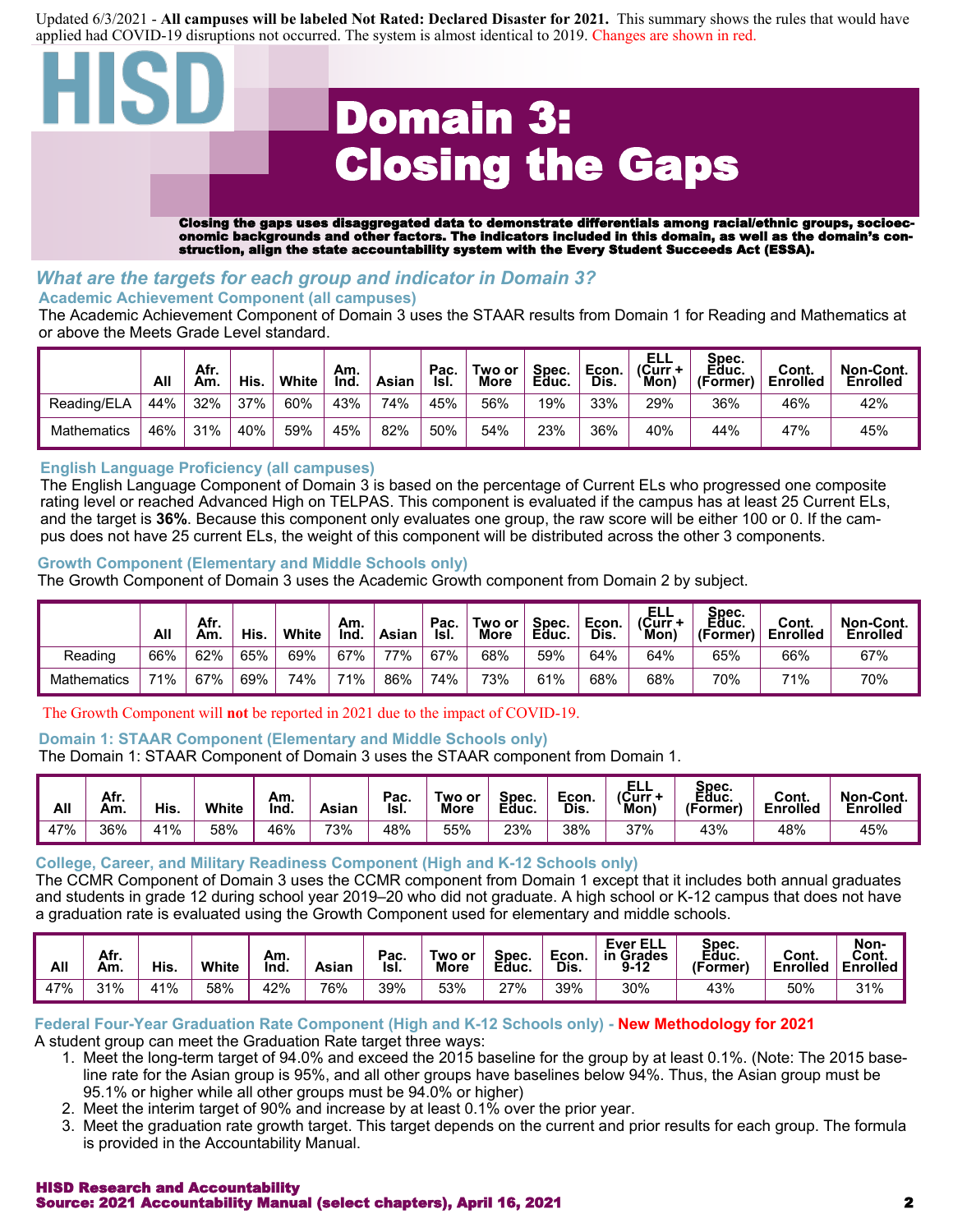Updated 6/3/2021 - **All campuses will be labeled Not Rated: Declared Disaster for 2021.** This summary shows the rules that would have applied had COVID-19 disruptions not occurred. The system is almost identical to 2019. Changes are shown in red.

# Domain 3: Closing the Gaps

Closing the gaps uses disaggregated data to demonstrate differentials among racial/ethnic groups, socioeconomic backgrounds and other factors. The indicators included in this domain, as well as the domain's construction, align the state accountability system with the Every Student Succeeds Act (ESSA).

### *What are the targets for each group and indicator in Domain 3?* **Academic Achievement Component (all campuses)**

The Academic Achievement Component of Domain 3 uses the STAAR results from Domain 1 for Reading and Mathematics at or above the Meets Grade Level standard.

|                    | All | Afr.<br>Am. | His. | White | Am.<br>Ind | Asian | Pac.<br>Isl. | Two or<br><b>More</b> | Spec.<br>Educ. | Econ.<br>Dis. | ELL<br>(Curr +<br>Mon) | Spec.<br>Educ.<br>(Former) | Cont.<br><b>Enrolled</b> | Non-Cont.<br>Enrolled |
|--------------------|-----|-------------|------|-------|------------|-------|--------------|-----------------------|----------------|---------------|------------------------|----------------------------|--------------------------|-----------------------|
| Reading/ELA        | 44% | 32%         | 37%  | 60%   | 43%        | 74%   | 45%          | 56%                   | 19%            | 33%           | 29%                    | 36%                        | 46%                      | 42%                   |
| <b>Mathematics</b> | 46% | 31%         | 40%  | 59%   | 45%        | 82%   | 50%          | 54%                   | 23%            | 36%           | 40%                    | 44%                        | 47%                      | 45%                   |

## **English Language Proficiency (all campuses)**

The English Language Component of Domain 3 is based on the percentage of Current ELs who progressed one composite rating level or reached Advanced High on TELPAS. This component is evaluated if the campus has at least 25 Current ELs, and the target is **36%**. Because this component only evaluates one group, the raw score will be either 100 or 0. If the campus does not have 25 current ELs, the weight of this component will be distributed across the other 3 components.

#### **Growth Component (Elementary and Middle Schools only)**

The Growth Component of Domain 3 uses the Academic Growth component from Domain 2 by subject.

|                    | All | Afr.<br>Am. | His. | White | Am.<br>Ind. | Asian | Pac.<br>Isl. | Two or<br><b>More</b> | Spec.<br>Educ. | Econ.<br>Dis. | ELL<br>(Curr +<br>Mon, | Spec.<br>Eḋuc.<br>(Former) | Cont.<br><b>Enrolled</b> | Non-Cont.<br>Enrolled |
|--------------------|-----|-------------|------|-------|-------------|-------|--------------|-----------------------|----------------|---------------|------------------------|----------------------------|--------------------------|-----------------------|
| Reading            | 66% | 62%         | 65%  | 69%   | 67%         | 77%   | 67%          | 68%                   | 59%            | 64%           | 64%                    | 65%                        | 66%                      | 67%                   |
| <b>Mathematics</b> | 71% | 67%         | 69%  | 74%   | 71%         | 86%   | 74%          | 73%                   | 61%            | 68%           | 68%                    | 70%                        | 71%                      | 70%                   |

## The Growth Component will **not** be reported in 2021 due to the impact of COVID-19.

#### **Domain 1: STAAR Component (Elementary and Middle Schools only)**

The Domain 1: STAAR Component of Domain 3 uses the STAAR component from Domain 1.

| All | Afr.<br>Am. | His. | White | Am.<br>Ind. | Asian | Pac.<br>Isl. | Two or<br><b>More</b> | Spec.<br>Educ. | Econ.<br>Dis. | ELL<br>(Curr+<br>Mon. | Spec.<br>Éduc.<br>(Former) | Cont.<br><b>Enrolled</b> | Non-Cont.<br>Enrolled |
|-----|-------------|------|-------|-------------|-------|--------------|-----------------------|----------------|---------------|-----------------------|----------------------------|--------------------------|-----------------------|
| 47% | 36%         | 41%  | 58%   | 46%         | 73%   | 48%          | 55%                   | 23%            | 38%           | 37%                   | 43%                        | 48%                      | 45%                   |

#### **College, Career, and Military Readiness Component (High and K-12 Schools only)**

The CCMR Component of Domain 3 uses the CCMR component from Domain 1 except that it includes both annual graduates and students in grade 12 during school year 2019–20 who did not graduate. A high school or K-12 campus that does not have a graduation rate is evaluated using the Growth Component used for elementary and middle schools.

| All | Afr.<br>Am. | His. | White | Am.<br>Ind. | Asian | Pac.<br>Isl. | Two or.<br><b>More</b> | Spec.<br>Educ. | Econ.<br>Dis. | <b>Ever ELL</b><br><b>Grades</b><br>in<br>$9 - 12$ | Spec.<br>Educ.<br>(Former) | Cont.<br><b>Enrolled</b> | Non-<br>Cont.<br><b>Enrolled</b> |
|-----|-------------|------|-------|-------------|-------|--------------|------------------------|----------------|---------------|----------------------------------------------------|----------------------------|--------------------------|----------------------------------|
| 47% | 31%         | 41%  | 58%   | 42%         | 76%   | 39%          | 53%                    | $27\%$         | 39%           | 30%                                                | 43%                        | 50%                      | 31%                              |

#### **Federal Four-Year Graduation Rate Component (High and K-12 Schools only) - New Methodology for 2021** A student group can meet the Graduation Rate target three ways:

- 1. Meet the long-term target of 94.0% and exceed the 2015 baseline for the group by at least 0.1%. (Note: The 2015 baseline rate for the Asian group is 95%, and all other groups have baselines below 94%. Thus, the Asian group must be 95.1% or higher while all other groups must be 94.0% or higher)
- 2. Meet the interim target of 90% and increase by at least 0.1% over the prior year.
- 3. Meet the graduation rate growth target. This target depends on the current and prior results for each group. The formula is provided in the Accountability Manual.

#### HISD Research and Accountability Source: 2021 Accountability Manual (select chapters), April 16, 2021 2